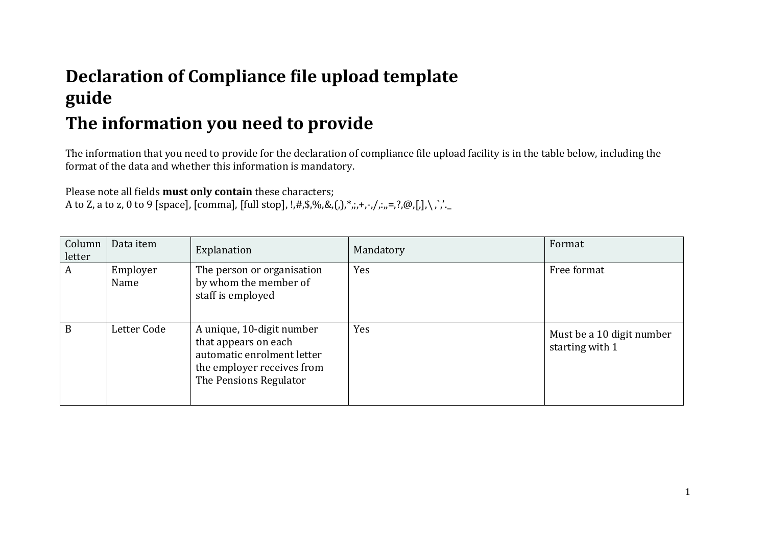## **Declaration of Compliance file upload template guide**

## **The information you need to provide**

The information that you need to provide for the declaration of compliance file upload facility is in the table below, including the format of the data and whether this information is mandatory.

Please note all fields **must only contain** these characters; A to Z, a to z, 0 to 9 [space], [comma], [full stop], !,#,\$,%,&,(,),\*,,,+,-,/,.,,=,?,@,[,],\,`,'.

| Column<br>letter | Data item        | Explanation                                                                                                                             | Mandatory | Format                                       |
|------------------|------------------|-----------------------------------------------------------------------------------------------------------------------------------------|-----------|----------------------------------------------|
| A                | Employer<br>Name | The person or organisation<br>by whom the member of<br>staff is employed                                                                | Yes       | Free format                                  |
| B                | Letter Code      | A unique, 10-digit number<br>that appears on each<br>automatic enrolment letter<br>the employer receives from<br>The Pensions Regulator | Yes       | Must be a 10 digit number<br>starting with 1 |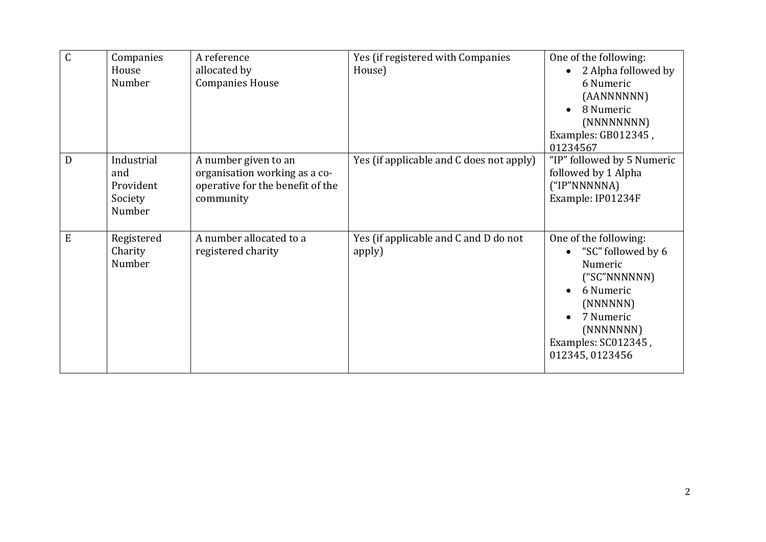| $\mathsf C$ | Companies             | A reference                      | Yes (if registered with Companies        | One of the following:         |
|-------------|-----------------------|----------------------------------|------------------------------------------|-------------------------------|
|             | House                 | allocated by                     | House)                                   | 2 Alpha followed by           |
|             | Number                | <b>Companies House</b>           |                                          | 6 Numeric                     |
|             |                       |                                  |                                          | (AANNNNNN)                    |
|             |                       |                                  |                                          | 8 Numeric                     |
|             |                       |                                  |                                          | (NNNNNNNN)                    |
|             |                       |                                  |                                          | Examples: GB012345,           |
|             |                       |                                  |                                          | 01234567                      |
| D           | Industrial            | A number given to an             | Yes (if applicable and C does not apply) | "IP" followed by 5 Numeric    |
|             | and                   | organisation working as a co-    |                                          | followed by 1 Alpha           |
|             | Provident             | operative for the benefit of the |                                          | ("IP"NNNNNA)                  |
|             | Society               | community                        |                                          | Example: IP01234F             |
|             | Number                |                                  |                                          |                               |
| ${\bf E}$   |                       | A number allocated to a          |                                          |                               |
|             | Registered<br>Charity | registered charity               | Yes (if applicable and C and D do not    | One of the following:         |
|             | Number                |                                  | apply)                                   | "SC" followed by 6<br>Numeric |
|             |                       |                                  |                                          | ("SC"NNNNNN)                  |
|             |                       |                                  |                                          | 6 Numeric                     |
|             |                       |                                  |                                          | (NNNNNN)                      |
|             |                       |                                  |                                          | 7 Numeric                     |
|             |                       |                                  |                                          | (NNNNNN)                      |
|             |                       |                                  |                                          | Examples: SC012345,           |
|             |                       |                                  |                                          | 012345, 0123456               |
|             |                       |                                  |                                          |                               |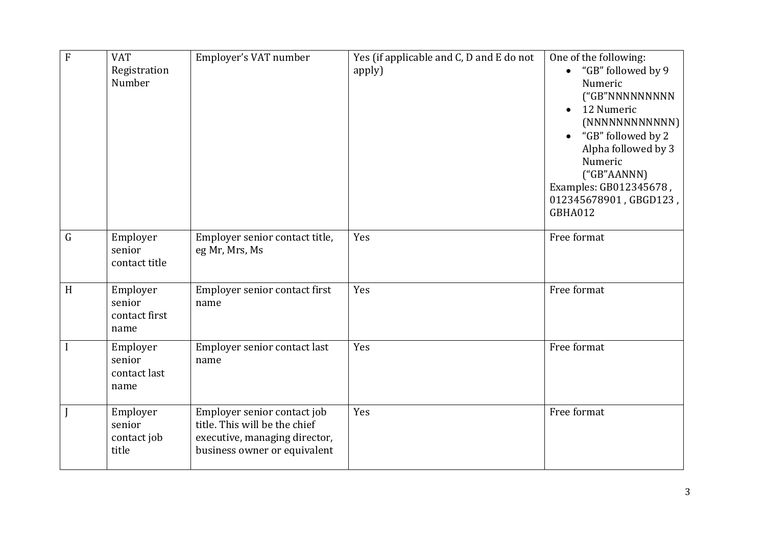| $\overline{F}$ | <b>VAT</b><br>Registration<br>Number        | Employer's VAT number                                                                                                         | Yes (if applicable and C, D and E do not<br>apply) | One of the following:<br>"GB" followed by 9<br>Numeric<br>("GB"NNNNNNNNN<br>12 Numeric<br>$\bullet$<br>(NNNNNNNNNNN)<br>"GB" followed by 2<br>$\bullet$<br>Alpha followed by 3<br>Numeric<br>("GB"AANN)<br>Examples: GB012345678,<br>012345678901, GBGD123,<br>GBHA012 |
|----------------|---------------------------------------------|-------------------------------------------------------------------------------------------------------------------------------|----------------------------------------------------|------------------------------------------------------------------------------------------------------------------------------------------------------------------------------------------------------------------------------------------------------------------------|
| $\mathsf G$    | Employer<br>senior<br>contact title         | Employer senior contact title,<br>eg Mr, Mrs, Ms                                                                              | Yes                                                | Free format                                                                                                                                                                                                                                                            |
| H              | Employer<br>senior<br>contact first<br>name | Employer senior contact first<br>name                                                                                         | Yes                                                | Free format                                                                                                                                                                                                                                                            |
|                | Employer<br>senior<br>contact last<br>name  | Employer senior contact last<br>name                                                                                          | Yes                                                | Free format                                                                                                                                                                                                                                                            |
|                | Employer<br>senior<br>contact job<br>title  | Employer senior contact job<br>title. This will be the chief<br>executive, managing director,<br>business owner or equivalent | Yes                                                | Free format                                                                                                                                                                                                                                                            |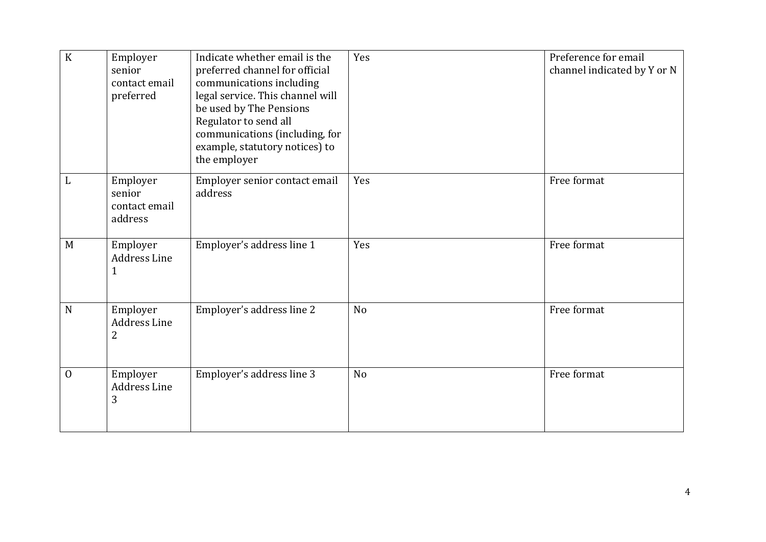| $\rm K$        | Employer<br>senior<br>contact email<br>preferred | Indicate whether email is the<br>preferred channel for official<br>communications including<br>legal service. This channel will<br>be used by The Pensions<br>Regulator to send all<br>communications (including, for<br>example, statutory notices) to<br>the employer | Yes            | Preference for email<br>channel indicated by Y or N |
|----------------|--------------------------------------------------|-------------------------------------------------------------------------------------------------------------------------------------------------------------------------------------------------------------------------------------------------------------------------|----------------|-----------------------------------------------------|
| L              | Employer<br>senior<br>contact email<br>address   | Employer senior contact email<br>address                                                                                                                                                                                                                                | Yes            | Free format                                         |
| M              | Employer<br>Address Line<br>$\mathbf{1}$         | Employer's address line 1                                                                                                                                                                                                                                               | Yes            | Free format                                         |
| $\mathbf N$    | Employer<br>Address Line<br>$\overline{2}$       | Employer's address line 2                                                                                                                                                                                                                                               | No             | Free format                                         |
| $\overline{0}$ | Employer<br><b>Address Line</b><br>3             | Employer's address line 3                                                                                                                                                                                                                                               | N <sub>o</sub> | Free format                                         |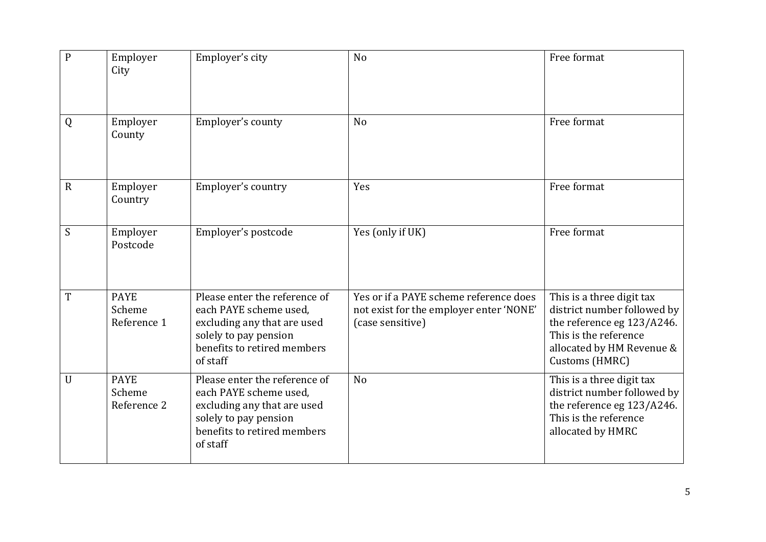| $\mathbf{P}$ | Employer<br>City                     | Employer's city                                                                                                                                            | N <sub>o</sub>                                                                                        | Free format                                                                                                                                                    |
|--------------|--------------------------------------|------------------------------------------------------------------------------------------------------------------------------------------------------------|-------------------------------------------------------------------------------------------------------|----------------------------------------------------------------------------------------------------------------------------------------------------------------|
| Q            | Employer<br>County                   | Employer's county                                                                                                                                          | N <sub>o</sub>                                                                                        | Free format                                                                                                                                                    |
| $\mathbf R$  | Employer<br>Country                  | Employer's country                                                                                                                                         | Yes                                                                                                   | Free format                                                                                                                                                    |
| S            | Employer<br>Postcode                 | Employer's postcode                                                                                                                                        | Yes (only if UK)                                                                                      | Free format                                                                                                                                                    |
| T            | <b>PAYE</b><br>Scheme<br>Reference 1 | Please enter the reference of<br>each PAYE scheme used,<br>excluding any that are used<br>solely to pay pension<br>benefits to retired members<br>of staff | Yes or if a PAYE scheme reference does<br>not exist for the employer enter 'NONE'<br>(case sensitive) | This is a three digit tax<br>district number followed by<br>the reference eg 123/A246.<br>This is the reference<br>allocated by HM Revenue &<br>Customs (HMRC) |
| $\mathbf{U}$ | <b>PAYE</b><br>Scheme<br>Reference 2 | Please enter the reference of<br>each PAYE scheme used,<br>excluding any that are used<br>solely to pay pension<br>benefits to retired members<br>of staff | N <sub>o</sub>                                                                                        | This is a three digit tax<br>district number followed by<br>the reference eg 123/A246.<br>This is the reference<br>allocated by HMRC                           |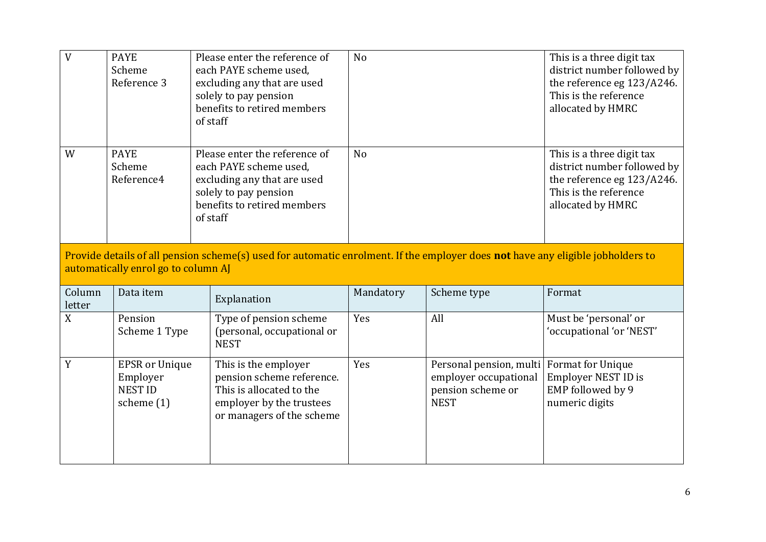| V                | <b>PAYE</b><br>Scheme<br>Reference 3                                | Please enter the reference of<br>each PAYE scheme used.<br>excluding any that are used<br>solely to pay pension<br>benefits to retired members<br>of staff | N <sub>o</sub> |                                                                                                        | This is a three digit tax<br>district number followed by<br>the reference eg 123/A246.<br>This is the reference<br>allocated by HMRC |
|------------------|---------------------------------------------------------------------|------------------------------------------------------------------------------------------------------------------------------------------------------------|----------------|--------------------------------------------------------------------------------------------------------|--------------------------------------------------------------------------------------------------------------------------------------|
| W                | <b>PAYE</b><br>Scheme<br>Reference4                                 | Please enter the reference of<br>each PAYE scheme used,<br>excluding any that are used<br>solely to pay pension<br>benefits to retired members<br>of staff | N <sub>o</sub> |                                                                                                        | This is a three digit tax<br>district number followed by<br>the reference eg 123/A246.<br>This is the reference<br>allocated by HMRC |
|                  | automatically enrol go to column AJ                                 | Provide details of all pension scheme(s) used for automatic enrolment. If the employer does not have any eligible jobholders to                            |                |                                                                                                        |                                                                                                                                      |
| Column<br>letter | Data item                                                           | Explanation                                                                                                                                                | Mandatory      | Scheme type                                                                                            | Format                                                                                                                               |
| X                | Pension<br>Scheme 1 Type                                            | Type of pension scheme<br>(personal, occupational or<br><b>NEST</b>                                                                                        | Yes            | All                                                                                                    | Must be 'personal' or<br>'occupational 'or 'NEST'                                                                                    |
| Y                | <b>EPSR</b> or Unique<br>Employer<br><b>NEST ID</b><br>scheme $(1)$ | This is the employer<br>pension scheme reference.<br>This is allocated to the<br>employer by the trustees<br>or managers of the scheme                     | Yes            | Personal pension, multi Format for Unique<br>employer occupational<br>pension scheme or<br><b>NEST</b> | Employer NEST ID is<br>EMP followed by 9<br>numeric digits                                                                           |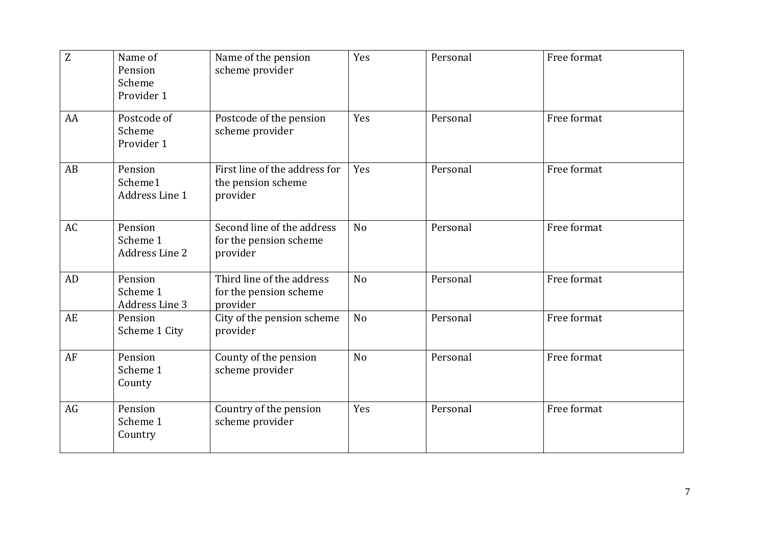| Z  | Name of<br>Pension<br>Scheme<br>Provider 1 | Name of the pension<br>scheme provider                           | Yes            | Personal | Free format |
|----|--------------------------------------------|------------------------------------------------------------------|----------------|----------|-------------|
| AA | Postcode of<br>Scheme<br>Provider 1        | Postcode of the pension<br>scheme provider                       | Yes            | Personal | Free format |
| AB | Pension<br>Scheme1<br>Address Line 1       | First line of the address for<br>the pension scheme<br>provider  | Yes            | Personal | Free format |
| AC | Pension<br>Scheme 1<br>Address Line 2      | Second line of the address<br>for the pension scheme<br>provider | N <sub>o</sub> | Personal | Free format |
| AD | Pension<br>Scheme 1<br>Address Line 3      | Third line of the address<br>for the pension scheme<br>provider  | N <sub>o</sub> | Personal | Free format |
| AE | Pension<br>Scheme 1 City                   | City of the pension scheme<br>provider                           | N <sub>o</sub> | Personal | Free format |
| AF | Pension<br>Scheme 1<br>County              | County of the pension<br>scheme provider                         | N <sub>o</sub> | Personal | Free format |
| AG | Pension<br>Scheme 1<br>Country             | Country of the pension<br>scheme provider                        | Yes            | Personal | Free format |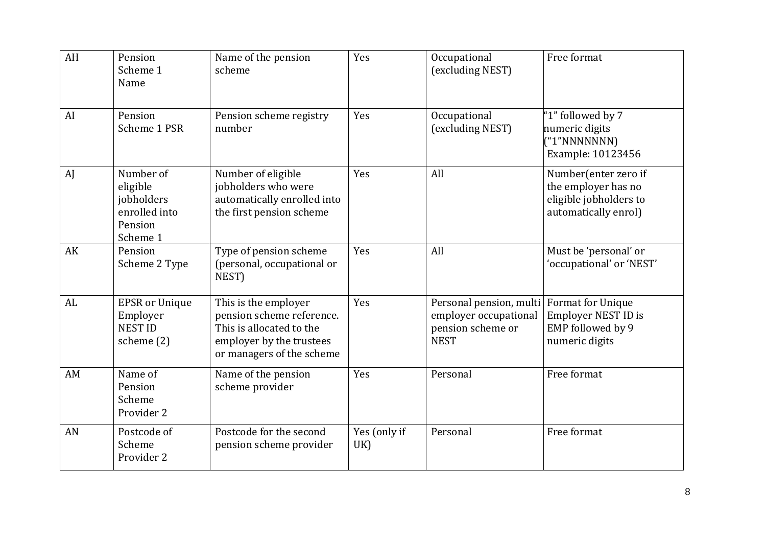| AH | Pension<br>Scheme 1<br>Name                                                 | Name of the pension<br>scheme                                                                                                          | Yes                 | Occupational<br>(excluding NEST)                                                     | Free format                                                                                   |
|----|-----------------------------------------------------------------------------|----------------------------------------------------------------------------------------------------------------------------------------|---------------------|--------------------------------------------------------------------------------------|-----------------------------------------------------------------------------------------------|
| AI | Pension<br>Scheme 1 PSR                                                     | Pension scheme registry<br>number                                                                                                      | Yes                 | Occupational<br>(excluding NEST)                                                     | '1" followed by 7<br>numeric digits<br>("1"NNNNNNN)<br>Example: 10123456                      |
| AJ | Number of<br>eligible<br>jobholders<br>enrolled into<br>Pension<br>Scheme 1 | Number of eligible<br>jobholders who were<br>automatically enrolled into<br>the first pension scheme                                   | Yes                 | All                                                                                  | Number(enter zero if<br>the employer has no<br>eligible jobholders to<br>automatically enrol) |
| AK | Pension<br>Scheme 2 Type                                                    | Type of pension scheme<br>(personal, occupational or<br>NEST)                                                                          | Yes                 | All                                                                                  | Must be 'personal' or<br>'occupational' or 'NEST'                                             |
| AL | <b>EPSR</b> or Unique<br>Employer<br><b>NEST ID</b><br>scheme (2)           | This is the employer<br>pension scheme reference.<br>This is allocated to the<br>employer by the trustees<br>or managers of the scheme | Yes                 | Personal pension, multi<br>employer occupational<br>pension scheme or<br><b>NEST</b> | Format for Unique<br>Employer NEST ID is<br>EMP followed by 9<br>numeric digits               |
| AM | Name of<br>Pension<br>Scheme<br>Provider 2                                  | Name of the pension<br>scheme provider                                                                                                 | Yes                 | Personal                                                                             | Free format                                                                                   |
| AN | Postcode of<br>Scheme<br>Provider 2                                         | Postcode for the second<br>pension scheme provider                                                                                     | Yes (only if<br>UK) | Personal                                                                             | Free format                                                                                   |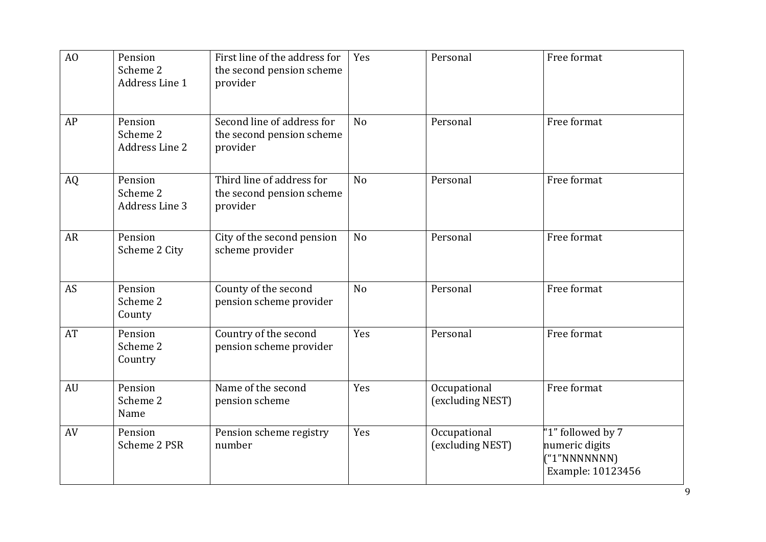| A <sub>O</sub> | Pension<br>Scheme 2<br>Address Line 1 | First line of the address for<br>the second pension scheme<br>provider | Yes            | Personal                         | Free format                                                              |
|----------------|---------------------------------------|------------------------------------------------------------------------|----------------|----------------------------------|--------------------------------------------------------------------------|
| AP             | Pension<br>Scheme 2<br>Address Line 2 | Second line of address for<br>the second pension scheme<br>provider    | N <sub>o</sub> | Personal                         | Free format                                                              |
| AQ             | Pension<br>Scheme 2<br>Address Line 3 | Third line of address for<br>the second pension scheme<br>provider     | No             | Personal                         | Free format                                                              |
| <b>AR</b>      | Pension<br>Scheme 2 City              | City of the second pension<br>scheme provider                          | N <sub>o</sub> | Personal                         | Free format                                                              |
| AS             | Pension<br>Scheme 2<br>County         | County of the second<br>pension scheme provider                        | N <sub>o</sub> | Personal                         | Free format                                                              |
| AT             | Pension<br>Scheme 2<br>Country        | Country of the second<br>pension scheme provider                       | Yes            | Personal                         | Free format                                                              |
| AU             | Pension<br>Scheme 2<br>Name           | Name of the second<br>pension scheme                                   | Yes            | Occupational<br>(excluding NEST) | Free format                                                              |
| AV             | Pension<br>Scheme 2 PSR               | Pension scheme registry<br>number                                      | Yes            | Occupational<br>(excluding NEST) | "1" followed by 7<br>numeric digits<br>("1"NNNNNNN)<br>Example: 10123456 |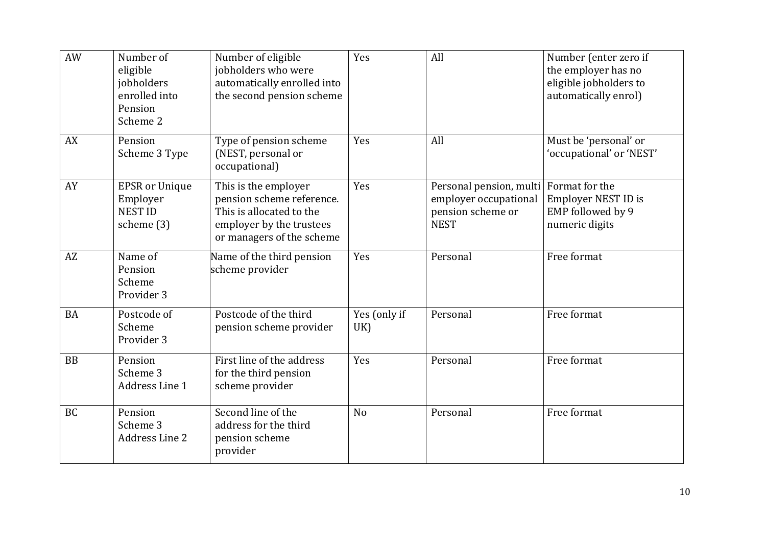| AW        | Number of<br>eligible<br>jobholders<br>enrolled into<br>Pension<br>Scheme 2 | Number of eligible<br>jobholders who were<br>automatically enrolled into<br>the second pension scheme                                  | Yes                 | All                                                                                                 | Number (enter zero if<br>the employer has no<br>eligible jobholders to<br>automatically enrol) |
|-----------|-----------------------------------------------------------------------------|----------------------------------------------------------------------------------------------------------------------------------------|---------------------|-----------------------------------------------------------------------------------------------------|------------------------------------------------------------------------------------------------|
| AX        | Pension<br>Scheme 3 Type                                                    | Type of pension scheme<br>(NEST, personal or<br>occupational)                                                                          | Yes                 | All                                                                                                 | Must be 'personal' or<br>'occupational' or 'NEST'                                              |
| AY        | <b>EPSR</b> or Unique<br>Employer<br><b>NEST ID</b><br>scheme (3)           | This is the employer<br>pension scheme reference.<br>This is allocated to the<br>employer by the trustees<br>or managers of the scheme | Yes                 | Personal pension, multi Format for the<br>employer occupational<br>pension scheme or<br><b>NEST</b> | Employer NEST ID is<br>EMP followed by 9<br>numeric digits                                     |
| AZ        | Name of<br>Pension<br>Scheme<br>Provider 3                                  | Name of the third pension<br>scheme provider                                                                                           | Yes                 | Personal                                                                                            | Free format                                                                                    |
| <b>BA</b> | Postcode of<br>Scheme<br>Provider 3                                         | Postcode of the third<br>pension scheme provider                                                                                       | Yes (only if<br>UK) | Personal                                                                                            | Free format                                                                                    |
| <b>BB</b> | Pension<br>Scheme 3<br>Address Line 1                                       | First line of the address<br>for the third pension<br>scheme provider                                                                  | Yes                 | Personal                                                                                            | Free format                                                                                    |
| <b>BC</b> | Pension<br>Scheme 3<br><b>Address Line 2</b>                                | Second line of the<br>address for the third<br>pension scheme<br>provider                                                              | N <sub>o</sub>      | Personal                                                                                            | Free format                                                                                    |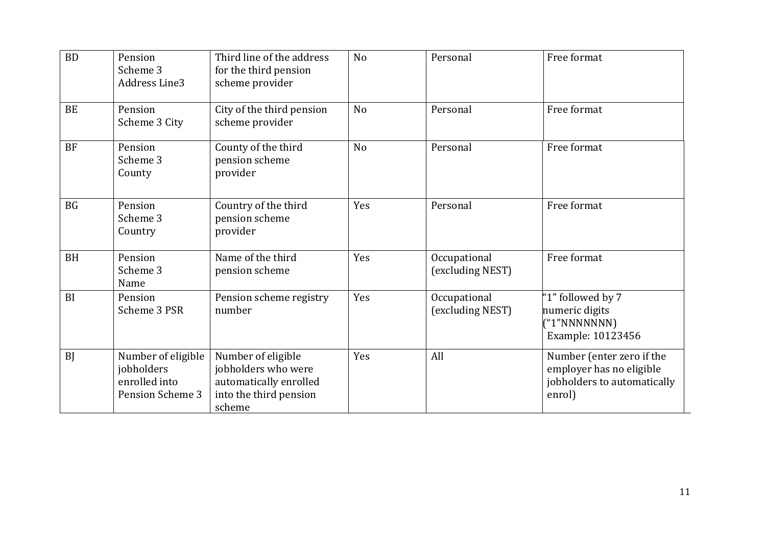| <b>BD</b> | Pension<br>Scheme 3<br><b>Address Line3</b>                                  | Third line of the address<br>for the third pension<br>scheme provider                                   | N <sub>o</sub> | Personal                         | Free format                                                                                    |
|-----------|------------------------------------------------------------------------------|---------------------------------------------------------------------------------------------------------|----------------|----------------------------------|------------------------------------------------------------------------------------------------|
| <b>BE</b> | Pension<br>Scheme 3 City                                                     | City of the third pension<br>scheme provider                                                            | N <sub>o</sub> | Personal                         | Free format                                                                                    |
| <b>BF</b> | Pension<br>Scheme 3<br>County                                                | County of the third<br>pension scheme<br>provider                                                       | N <sub>o</sub> | Personal                         | Free format                                                                                    |
| <b>BG</b> | Pension<br>Scheme 3<br>Country                                               | Country of the third<br>pension scheme<br>provider                                                      | Yes            | Personal                         | Free format                                                                                    |
| <b>BH</b> | Pension<br>Scheme 3<br>Name                                                  | Name of the third<br>pension scheme                                                                     | Yes            | Occupational<br>(excluding NEST) | Free format                                                                                    |
| BI        | Pension<br>Scheme 3 PSR                                                      | Pension scheme registry<br>number                                                                       | Yes            | Occupational<br>(excluding NEST) | "1" followed by 7<br>numeric digits<br>("1"NNNNNNN)<br>Example: 10123456                       |
| <b>BJ</b> | Number of eligible<br>jobholders<br>enrolled into<br><b>Pension Scheme 3</b> | Number of eligible<br>jobholders who were<br>automatically enrolled<br>into the third pension<br>scheme | Yes            | All                              | Number (enter zero if the<br>employer has no eligible<br>jobholders to automatically<br>enrol) |